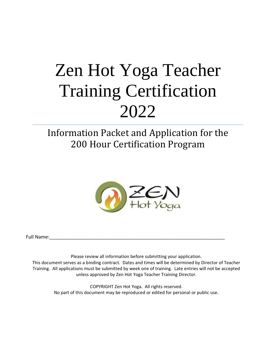# Information Packet and Application for the 200 Hour Certification Program



Full Name:\_\_\_\_\_\_\_\_\_\_\_\_\_\_\_\_\_\_\_\_\_\_\_\_\_\_\_\_\_\_\_\_\_\_\_\_\_\_\_\_\_\_\_\_\_\_\_\_\_\_\_\_\_\_\_\_\_\_\_\_\_\_\_\_\_\_\_\_\_\_\_

Please review all information before submitting your application. This document serves as a binding contract. Dates and times will be determined by Director of Teacher Training. All applications must be submitted by week one of training. Late entries will not be accepted unless approved by Zen Hot Yoga Teacher Training Director.

> COPYRIGHT Zen Hot Yoga. All rights reserved. No part of this document may be reproduced or edited for personal or public use.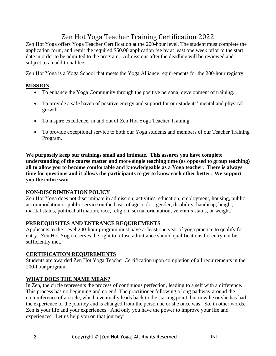Zen Hot Yoga offers Yoga Teacher Certification at the 200-hour level. The student must complete the application form, and remit the required \$50.00 application fee by at least one week prior to the start date in order to be admitted to the program. Admissions after the deadline will be reviewed and subject to an additional fee.

Zen Hot Yoga is a Yoga School that meets the Yoga Alliance requirements for the 200-hour registry.

# **MISSION**

- To enhance the Yoga Community through the positive personal development of training.
- To provide a safe haven of positive energy and support for our students' mental and physical growth.
- To inspire excellence, in and out of Zen Hot Yoga Teacher Training.
- To provide exceptional service to both our Yoga students and members of our Teacher Training Program.

**We purposely keep our trainings small and intimate. This assures you have complete understanding of the course matter and more single teaching time (as opposed to group teaching) all to allow you to become comfortable and knowledgeable as a Yoga teacher. There is always time for questions and it allows the participants to get to know each other better. We support you the entire way.**

# **NON-DISCRIMINATION POLICY**

Zen Hot Yoga does not discriminate in admission, activities, education, employment, housing, public accommodation or public service on the basis of age, color, gender, disability, handicap, height, marital status, political affiliation, race, religion, sexual orientation, veteran's status, or weight.

# **PREREQUISITES AND ENTRANCE REQUIREMENTS**

Applicants to the Level 200-hour program must have at least one year of yoga practice to qualify for entry. Zen Hot Yoga reserves the right to refuse admittance should qualifications for entry not be sufficiently met.

# **CERTIFICATION REQUIREMENTS**

Students are awarded Zen Hot Yoga Teacher Certification upon completion of all requirements in the 200-hour program.

# **WHAT DOES THE NAME MEAN?**

In Zen, the circle represents the process of continuous perfection, leading to a self with a difference. This process has no beginning and no end. The practitioner following a long pathway around the circumference of a circle, which eventually leads back to the starting point, but now he or she has had the experience of the journey and is changed from the person he or she once was. So, in other words, Zen is your life and your experiences. And only you have the power to improve your life and experiences. Let us help you on that journey!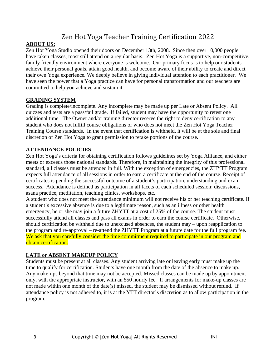# **ABOUT US:**

Zen Hot Yoga Studio opened their doors on December 13th, 2008. Since then over 10,000 people have taken classes, most still attend on a regular basis. Zen Hot Yoga is a supportive, non-competitive, family friendly environment where everyone is welcome. Our primary focus is to help our students achieve their personal goals, attain good health, and become aware of their ability to create and direct their own Yoga experience. We deeply believe in giving individual attention to each practitioner. We have seen the power that a Yoga practice can have for personal transformation and our teachers are committed to help you achieve and sustain it.

## **GRADING SYSTEM**

Grading is complete/incomplete. Any incomplete may be made up per Late or Absent Policy. All quizzes and tests are a pass/fail grade. If failed, student may have the opportunity to retest one additional time. The Owner and/or training director reserve the right to deny certification to any student who does not fulfill course obligations or who does not meet the Zen Hot Yoga Teacher Training Course standards. In the event that certification is withheld, it will be at the sole and final discretion of Zen Hot Yoga to grant permission to retake portions of the course.

# **ATTENDANCE POLICIES**

Zen Hot Yoga's criteria for obtaining certification follows guidelines set by Yoga Alliance, and either meets or exceeds those national standards. Therefore, in maintaining the integrity of this professional standard, all classes must be attended in full. With the exception of emergencies, the ZHYTT Program expects full attendance of all sessions in order to earn a certificate at the end of the course. Receipt of certificates is pending the successful outcome of a student's participation, understanding and exam success. Attendance is defined as participation in all facets of each scheduled session: discussions, asana practice, meditation, teaching clinics, workshops, etc.

A student who does not meet the attendance minimum will not receive his or her teaching certificate. If a student's excessive absence is due to a legitimate reason, such as an illness or other health emergency, he or she may join a future ZHYTT at a cost of 25% of the course. The student must successfully attend all classes and pass all exams in order to earn the course certificate. Otherwise, should certification be withheld due to unexcused absences, the student may – upon reapplication to the program and re-approval – re-attend the ZHYTT Program at a future date for the full program fee. We ask that you carefully consider the time commitment required to participate in our program and obtain certification.

# **LATE or ABSENT MAKEUP POLICY**

Students must be present at all classes. Any student arriving late or leaving early must make up the time to qualify for certification. Students have one month from the date of the absence to make up. Any make-ups beyond that time may not be accepted. Missed classes can be made up by appointment only, with the appropriate instructor, with an \$50 hourly fee. If arrangements for make-up classes are not made within one month of the date(s) missed, the student may be dismissed without refund. If attendance policy is not adhered to, it is at the YTT director's discretion as to allow participation in the program.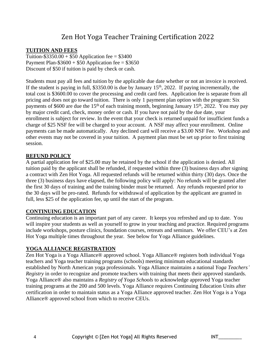## **TUITION AND FEES**

Tuition-\$3350.00 + \$50 Application fee =  $$3400$ Payment Plan- $$3600 + $50$  Application fee = \$3650 Discount of \$50 if tuition is paid by check or cash.

Students must pay all fees and tuition by the applicable due date whether or not an invoice is received. If the student is paying in full,  $$3350.00$  is due by January  $15<sup>th</sup>$ , 2022. If paying incrementally, the total cost is \$3600.00 to cover the processing and credit card fees. Application fee is separate from all pricing and does not go toward tuition. There is only 1 payment plan option with the program: Six payments of \$600 are due the 15<sup>th</sup> of each training month, beginning January 15<sup>th</sup>, 2022. You may pay by major credit card, check, money order or cash. If you have not paid by the due date, your enrollment is subject for review. In the event that your check is returned unpaid for insufficient funds a charge of \$25 NSF fee will be charged to your account. A NSF may affect your enrollment. Online payments can be made automatically. Any declined card will receive a \$3.00 NSF Fee. Workshop and other events may not be covered in your tuition. A payment plan must be set up prior to first training session.

#### **REFUND POLICY**

A partial application fee of \$25.00 may be retained by the school if the application is denied. All tuition paid by the applicant shall be refunded, if requested within three (3) business days after signing a contract with Zen Hot Yoga. All requested refunds will be returned within thirty (30) days. Once the three (3) business days have elapsed, the following policy will apply: No refunds will be granted after the first 30 days of training and the training binder must be returned. Any refunds requested prior to the 30 days will be pro-rated. Refunds for withdrawal of application by the applicant are granted in full, less \$25 of the application fee, up until the start of the program.

#### **CONTINUING EDUCATION**

Continuing education is an important part of any career. It keeps you refreshed and up to date. You will inspire your students as well as yourself to grow in your teaching and practice. Required programs include workshops, posture clinics, foundation courses, retreats and seminars. We offer CEU's at Zen Hot Yoga multiple times throughout the year. See below for Yoga Alliance guidelines.

#### **YOGA ALLIANCE REGISTRATION**

Zen Hot Yoga is a Yoga Alliance® approved school. Yoga Alliance® registers both individual Yoga teachers and Yoga teacher training programs (schools) meeting minimum educational standards established by North American yoga professionals. Yoga Alliance maintains a national *Yoga Teachers' Registry* in order to recognize and promote teachers with training that meets their approved standards. Yoga Alliance® also maintains a *Registry of Yoga Schools* to acknowledge approved Yoga teacher training programs at the 200 and 500 levels. Yoga Alliance requires Continuing Education Units after certification in order to maintain status as a Yoga Alliance approved teacher. Zen Hot Yoga is a Yoga Alliance® approved school from which to receive CEUs.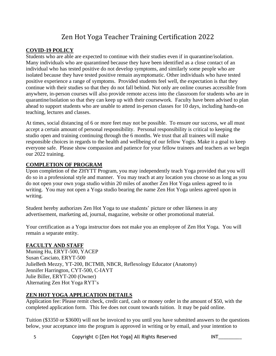## **COVID-19 POLICY**

Students who are able are expected to continue with their studies even if in quarantine/isolation. Many individuals who are quarantined because they have been identified as a close contact of an individual who has tested positive do not develop symptoms, and similarly some people who are isolated because they have tested positive remain asymptomatic. Other individuals who have tested positive experience a range of symptoms. Provided students feel well, the expectation is that they continue with their studies so that they do not fall behind. Not only are online courses accessible from anywhere, in-person courses will also provide remote access into the classroom for students who are in quarantine/isolation so that they can keep up with their coursework.Faculty have been advised to plan ahead to support students who are unable to attend in-person classes for 10 days, including hands-on teaching, lectures and classes.

At times, social distancing of 6 or more feet may not be possible. To ensure our success, we all must accept a certain amount of personal responsibility. Personal responsibility is critical to keeping the studio open and training continuing through the 6 months. We trust that all trainees will make responsible choices in regards to the health and wellbeing of our fellow Yogis. Make it a goal to keep everyone safe. Please show compassion and patience for your fellow trainees and teachers as we begin our 2022 training.

## **COMPLETION OF PROGRAM**

Upon completion of the ZHYTT Program, you may independently teach Yoga provided that you will do so in a professional style and manner. You may teach at any location you choose so as long as you do not open your own yoga studio within 20 miles of another Zen Hot Yoga unless agreed to in writing. You may not open a Yoga studio bearing the name Zen Hot Yoga unless agreed upon in writing.

Student hereby authorizes Zen Hot Yoga to use students' picture or other likeness in any advertisement, marketing ad, journal, magazine, website or other promotional material.

Your certification as a Yoga instructor does not make you an employee of Zen Hot Yoga. You will remain a separate entity.

# **FACULTY AND STAFF**

Muning Hu, ERYT-500, YACEP Susan Casciato, ERYT-500 JulieBeth Mezzy, YT-200, BCTMB, NBCR, Reflexology Educator (Anatomy) Jennifer Harrington, CYT-500, C-IAYT Julie Biller, ERYT-200 (Owner) Alternating Zen Hot Yoga RYT's

# **ZEN HOT YOGA APPLICATION DETAILS**

Application fee: Please remit check, credit card, cash or money order in the amount of \$50, with the completed application form. This fee does not count towards tuition. It may be paid online.

Tuition (\$3350 or \$3600) will not be invoiced to you until you have submitted answers to the questions below, your acceptance into the program is approved in writing or by email, and your intention to

5 Copyright © [Zen Hot Yoga] All Rights Reserved INT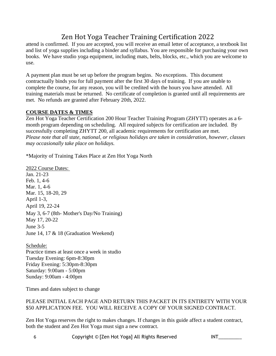attend is confirmed. If you are accepted, you will receive an email letter of acceptance, a textbook list and list of yoga supplies including a binder and syllabus. You are responsible for purchasing your own books. We have studio yoga equipment, including mats, belts, blocks, etc., which you are welcome to use.

A payment plan must be set up before the program begins. No exceptions. This document contractually binds you for full payment after the first 30 days of training. If you are unable to complete the course, for any reason, you will be credited with the hours you have attended. All training materials must be returned. No certificate of completion is granted until all requirements are met. No refunds are granted after February 20th, 2022.

# **COURSE DATES & TIMES**

Zen Hot Yoga Teacher Certification 200 Hour Teacher Training Program (ZHYTT) operates as a 6 month program depending on scheduling. All required subjects for certification are included. By successfully completing ZHYTT 200, all academic requirements for certification are met. *Please note that all state, national, or religious holidays are taken in consideration, however, classes may occasionally take place on holidays.*

\*Majority of Training Takes Place at Zen Hot Yoga North

2022 Course Dates: Jan. 21-23 Feb. 1, 4-6 Mar. 1, 4-6 Mar. 15, 18-20, 29 April 1-3, April 19, 22-24 May 3, 6-7 (8th- Mother's Day/No Training) May 17, 20-22 June 3-5 June 14, 17 & 18 (Graduation Weekend)

Schedule: Practice times at least once a week in studio Tuesday Evening: 6pm-8:30pm Friday Evening: 5:30pm-8:30pm Saturday: 9:00am - 5:00pm Sunday: 9:00am - 4:00pm

Times and dates subject to change

## PLEASE INITIAL EACH PAGE AND RETURN THIS PACKET IN ITS ENTIRETY WITH YOUR \$50 APPLICATION FEE. YOU WILL RECEIVE A COPY OF YOUR SIGNED CONTRACT.

Zen Hot Yoga reserves the right to makes changes. If changes in this guide affect a student contract, both the student and Zen Hot Yoga must sign a new contract.

6 Copyright © [Zen Hot Yoga] All Rights Reserved II

| г |  |  |  |  |  |
|---|--|--|--|--|--|
|   |  |  |  |  |  |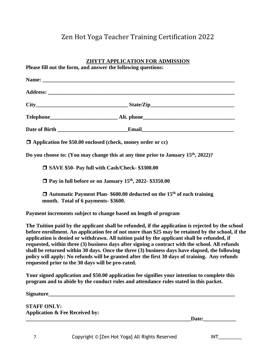| <b>ZHYTT APPLICATION FOR ADMISSION</b><br>Please fill out the form, and answer the following questions:                                                                                                                                                                                                                                                                                                                                                                                                                                                                                                                                                           |
|-------------------------------------------------------------------------------------------------------------------------------------------------------------------------------------------------------------------------------------------------------------------------------------------------------------------------------------------------------------------------------------------------------------------------------------------------------------------------------------------------------------------------------------------------------------------------------------------------------------------------------------------------------------------|
|                                                                                                                                                                                                                                                                                                                                                                                                                                                                                                                                                                                                                                                                   |
|                                                                                                                                                                                                                                                                                                                                                                                                                                                                                                                                                                                                                                                                   |
| $City$ $City$ $State/Zip$                                                                                                                                                                                                                                                                                                                                                                                                                                                                                                                                                                                                                                         |
|                                                                                                                                                                                                                                                                                                                                                                                                                                                                                                                                                                                                                                                                   |
|                                                                                                                                                                                                                                                                                                                                                                                                                                                                                                                                                                                                                                                                   |
| $\Box$ Application fee \$50.00 enclosed (check, money order or cc)                                                                                                                                                                                                                                                                                                                                                                                                                                                                                                                                                                                                |
| Do you choose to: (You may change this at any time prior to January 15 <sup>th</sup> , 2022)?                                                                                                                                                                                                                                                                                                                                                                                                                                                                                                                                                                     |
| □ SAVE \$50- Pay full with Cash/Check- \$3300.00                                                                                                                                                                                                                                                                                                                                                                                                                                                                                                                                                                                                                  |
| □ Pay in full before or on January 15 <sup>th</sup> , 2022- \$3350.00                                                                                                                                                                                                                                                                                                                                                                                                                                                                                                                                                                                             |
| $\Box$ Automatic Payment Plan-\$600.00 deducted on the 15 <sup>th</sup> of each training<br>month. Total of 6 payments- \$3600.                                                                                                                                                                                                                                                                                                                                                                                                                                                                                                                                   |
| Payment increments subject to change based on length of program                                                                                                                                                                                                                                                                                                                                                                                                                                                                                                                                                                                                   |
| The Tuition paid by the applicant shall be refunded, if the application is rejected by the school<br>before enrollment. An application fee of not more than \$25 may be retained by the school, if the<br>application is denied or withdrawn. All tuition paid by the applicant shall be refunded, if<br>requested, within three (3) business days after signing a contract with the school. All refunds<br>shall be returned within 30 days. Once the three (3) business days have elapsed, the following<br>policy will apply: No refunds will be granted after the first 30 days of training. Any refunds<br>requested prior to the 30 days will be pro-rated. |
| Your signed application and \$50.00 application fee signifies your intention to complete this<br>program and to abide by the conduct rules and attendance rules stated in this packet.                                                                                                                                                                                                                                                                                                                                                                                                                                                                            |
|                                                                                                                                                                                                                                                                                                                                                                                                                                                                                                                                                                                                                                                                   |
| <b>CTAEF ONI V.</b>                                                                                                                                                                                                                                                                                                                                                                                                                                                                                                                                                                                                                                               |

**STAFF ONLY: Application & Fee Received by:**

**\_\_\_\_\_\_\_\_\_\_\_\_\_\_\_\_\_\_\_\_\_\_\_\_\_\_\_\_\_\_\_\_\_\_\_\_\_\_\_\_\_\_\_\_\_\_\_\_\_\_\_\_\_\_\_\_\_\_\_\_\_Date:\_\_\_\_\_\_\_\_\_\_\_\_**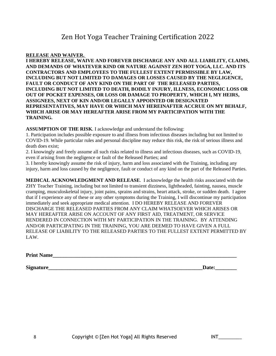#### **RELEASE AND WAIVER.**

**I HEREBY RELEASE, WAIVE AND FOREVER DISCHARGE ANY AND ALL LIABILITY, CLAIMS, AND DEMANDS OF WHATEVER KIND OR NATURE AGAINST ZEN HOT YOGA, LLC. AND ITS CONTRACTORS AND EMPLOYEES TO THE FULLEST EXTENT PERMISSIBLE BY LAW, INCLUDING BUT NOT LIMITED TO DAMAGES OR LOSSES CAUSED BY THE NEGLIGENCE, FAULT OR CONDUCT OF ANY KIND ON THE PART OF THE RELEASED PARTIES, INCLUDING BUT NOT LIMITED TO DEATH, BODILY INJURY, ILLNESS, ECONOMIC LOSS OR OUT OF POCKET EXPENSES, OR LOSS OR DAMAGE TO PROPERTY, WHICH I, MY HEIRS, ASSIGNEES, NEXT OF KIN AND/OR LEGALLY APPOINTED OR DESIGNATED REPRESENTATIVES, MAY HAVE OR WHICH MAY HEREINAFTER ACCRUE ON MY BEHALF, WHICH ARISE OR MAY HEREAFTER ARISE FROM MY PARTICIPATION WITH THE TRAINING.**

**ASSUMPTION OF THE RISK**. I acknowledge and understand the following:

1. Participation includes possible exposure to and illness from infectious diseases including but not limited to COVID-19. While particular rules and personal discipline may reduce this risk, the risk of serious illness and death does exist;

2. I knowingly and freely assume all such risks related to illness and infectious diseases, such as COVID-19, even if arising from the negligence or fault of the Released Parties; and

3. I hereby knowingly assume the risk of injury, harm and loss associated with the Training, including any injury, harm and loss caused by the negligence, fault or conduct of any kind on the part of the Released Parties.

**MEDICAL ACKNOWLEDGMENT AND RELEASE**. I acknowledge the health risks associated with the ZHY Teacher Training, including but not limited to transient dizziness, lightheaded, fainting, nausea, muscle cramping, musculoskeletal injury, joint pains, sprains and strains, heart attack, stroke, or sudden death. I agree that if I experience any of these or any other symptoms during the Training, I will discontinue my participation immediately and seek appropriate medical attention. I DO HEREBY RELEASE AND FOREVER DISCHARGE THE RELEASED PARTIES FROM ANY CLAIM WHATSOEVER WHICH ARISES OR MAY HEREAFTER ARISE ON ACCOUNT OF ANY FIRST AID, TREATMENT, OR SERVICE RENDERED IN CONNECTION WITH MY PARTICIPATION IN THE TRAINING. BY ATTENDING AND/OR PARTICIPATING IN THE TRAINING, YOU ARE DEEMED TO HAVE GIVEN A FULL RELEASE OF LIABILITY TO THE RELEASED PARTIES TO THE FULLEST EXTENT PERMITTED BY LAW.

**Print Name** 

**Signature** Date: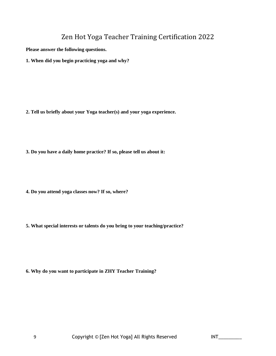**Please answer the following questions.**

**1. When did you begin practicing yoga and why?**

- **2. Tell us briefly about your Yoga teacher(s) and your yoga experience.**
- **3. Do you have a daily home practice? If so, please tell us about it:**
- **4. Do you attend yoga classes now? If so, where?**
- **5. What special interests or talents do you bring to your teaching/practice?**

**6. Why do you want to participate in ZHY Teacher Training?**